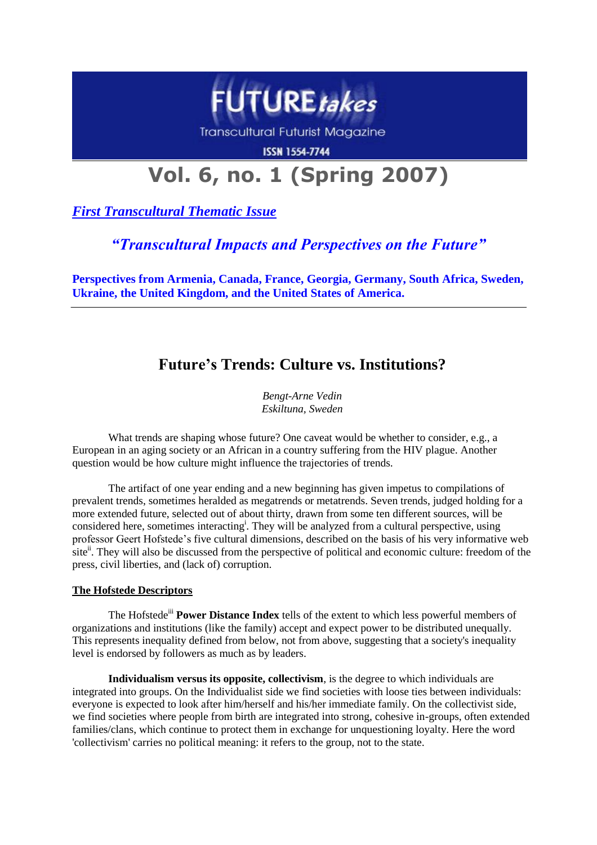

**Transcultural Futurist Magazine** 

**ISSN 1554-7744** 

# **Vol. 6, no. 1 (Spring 2007)**

*First Transcultural Thematic Issue*

## *"Transcultural Impacts and Perspectives on the Future"*

**Perspectives from Armenia, Canada, France, Georgia, Germany, South Africa, Sweden, Ukraine, the United Kingdom, and the United States of America.**

# **Future's Trends: Culture vs. Institutions?**

*Bengt-Arne Vedin Eskiltuna, Sweden*

What trends are shaping whose future? One caveat would be whether to consider, e.g., a European in an aging society or an African in a country suffering from the HIV plague. Another question would be how culture might influence the trajectories of trends.

The artifact of one year ending and a new beginning has given impetus to compilations of prevalent trends, sometimes heralded as megatrends or metatrends. Seven trends, judged holding for a more extended future, selected out of about thirty, drawn from some ten different sources, will be considered here, sometimes interacting<sup>1</sup>. They will be analyzed from a cultural perspective, using professor Geert Hofstede"s five cultural dimensions, described on the basis of his very informative web site<sup>ii</sup>. They will also be discussed from the perspective of political and economic culture: freedom of the press, civil liberties, and (lack of) corruption.

### **The Hofstede Descriptors**

The Hofstede<sup>iii</sup> **Power Distance Index** tells of the extent to which less powerful members of organizations and institutions (like the family) accept and expect power to be distributed unequally. This represents inequality defined from below, not from above, suggesting that a society's inequality level is endorsed by followers as much as by leaders.

**Individualism versus its opposite, collectivism**, is the degree to which individuals are integrated into groups. On the Individualist side we find societies with loose ties between individuals: everyone is expected to look after him/herself and his/her immediate family. On the collectivist side, we find societies where people from birth are integrated into strong, cohesive in-groups, often extended families/clans, which continue to protect them in exchange for unquestioning loyalty. Here the word 'collectivism' carries no political meaning: it refers to the group, not to the state.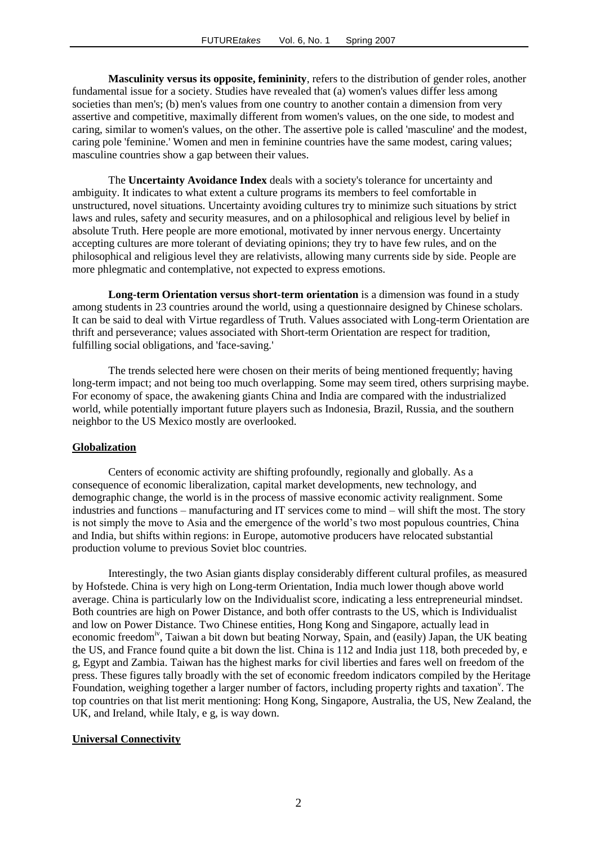**Masculinity versus its opposite, femininity**, refers to the distribution of gender roles, another fundamental issue for a society. Studies have revealed that (a) women's values differ less among societies than men's; (b) men's values from one country to another contain a dimension from very assertive and competitive, maximally different from women's values, on the one side, to modest and caring, similar to women's values, on the other. The assertive pole is called 'masculine' and the modest, caring pole 'feminine.' Women and men in feminine countries have the same modest, caring values; masculine countries show a gap between their values.

The **Uncertainty Avoidance Index** deals with a society's tolerance for uncertainty and ambiguity. It indicates to what extent a culture programs its members to feel comfortable in unstructured, novel situations. Uncertainty avoiding cultures try to minimize such situations by strict laws and rules, safety and security measures, and on a philosophical and religious level by belief in absolute Truth. Here people are more emotional, motivated by inner nervous energy. Uncertainty accepting cultures are more tolerant of deviating opinions; they try to have few rules, and on the philosophical and religious level they are relativists, allowing many currents side by side. People are more phlegmatic and contemplative, not expected to express emotions.

**Long-term Orientation versus short-term orientation** is a dimension was found in a study among students in 23 countries around the world, using a questionnaire designed by Chinese scholars. It can be said to deal with Virtue regardless of Truth. Values associated with Long-term Orientation are thrift and perseverance; values associated with Short-term Orientation are respect for tradition, fulfilling social obligations, and 'face-saving.'

The trends selected here were chosen on their merits of being mentioned frequently; having long-term impact; and not being too much overlapping. Some may seem tired, others surprising maybe. For economy of space, the awakening giants China and India are compared with the industrialized world, while potentially important future players such as Indonesia, Brazil, Russia, and the southern neighbor to the US Mexico mostly are overlooked.

#### **Globalization**

Centers of economic activity are shifting profoundly, regionally and globally. As a consequence of economic liberalization, capital market developments, new technology, and demographic change, the world is in the process of massive economic activity realignment. Some industries and functions – manufacturing and IT services come to mind – will shift the most. The story is not simply the move to Asia and the emergence of the world"s two most populous countries, China and India, but shifts within regions: in Europe, automotive producers have relocated substantial production volume to previous Soviet bloc countries.

Interestingly, the two Asian giants display considerably different cultural profiles, as measured by Hofstede. China is very high on Long-term Orientation, India much lower though above world average. China is particularly low on the Individualist score, indicating a less entrepreneurial mindset. Both countries are high on Power Distance, and both offer contrasts to the US, which is Individualist and low on Power Distance. Two Chinese entities, Hong Kong and Singapore, actually lead in economic freedom<sup>iv</sup>, Taiwan a bit down but beating Norway, Spain, and (easily) Japan, the UK beating the US, and France found quite a bit down the list. China is 112 and India just 118, both preceded by, e g, Egypt and Zambia. Taiwan has the highest marks for civil liberties and fares well on freedom of the press. These figures tally broadly with the set of economic freedom indicators compiled by the Heritage Foundation, weighing together a larger number of factors, including property rights and taxation<sup>v</sup>. The top countries on that list merit mentioning: Hong Kong, Singapore, Australia, the US, New Zealand, the UK, and Ireland, while Italy, e g, is way down.

#### **Universal Connectivity**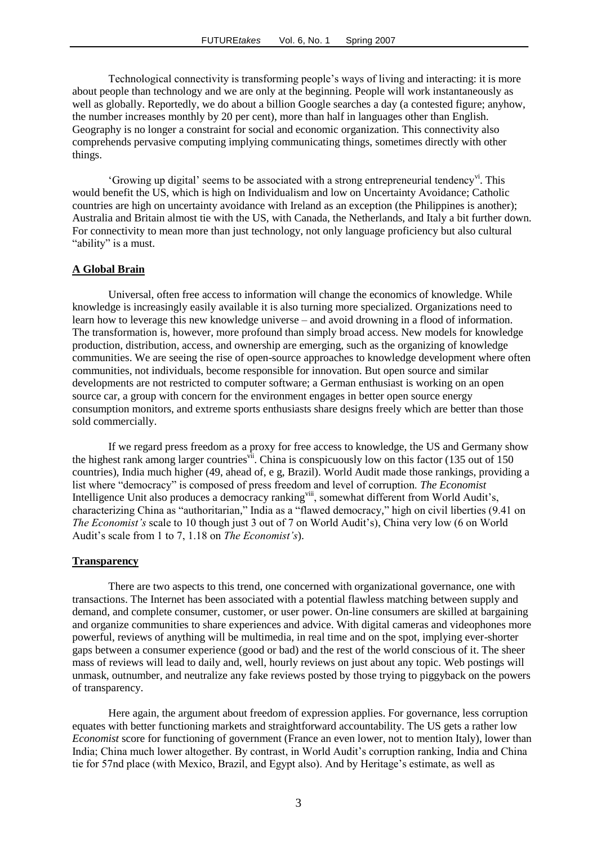Technological connectivity is transforming people"s ways of living and interacting: it is more about people than technology and we are only at the beginning. People will work instantaneously as well as globally. Reportedly, we do about a billion Google searches a day (a contested figure; anyhow, the number increases monthly by 20 per cent), more than half in languages other than English. Geography is no longer a constraint for social and economic organization. This connectivity also comprehends pervasive computing implying communicating things, sometimes directly with other things.

"Growing up digital" seems to be associated with a strong entrepreneurial tendency". This would benefit the US, which is high on Individualism and low on Uncertainty Avoidance; Catholic countries are high on uncertainty avoidance with Ireland as an exception (the Philippines is another); Australia and Britain almost tie with the US, with Canada, the Netherlands, and Italy a bit further down. For connectivity to mean more than just technology, not only language proficiency but also cultural "ability" is a must.

#### **A Global Brain**

Universal, often free access to information will change the economics of knowledge. While knowledge is increasingly easily available it is also turning more specialized. Organizations need to learn how to leverage this new knowledge universe – and avoid drowning in a flood of information. The transformation is, however, more profound than simply broad access. New models for knowledge production, distribution, access, and ownership are emerging, such as the organizing of knowledge communities. We are seeing the rise of open-source approaches to knowledge development where often communities, not individuals, become responsible for innovation. But open source and similar developments are not restricted to computer software; a German enthusiast is working on an open source car, a group with concern for the environment engages in better open source energy consumption monitors, and extreme sports enthusiasts share designs freely which are better than those sold commercially.

If we regard press freedom as a proxy for free access to knowledge, the US and Germany show the highest rank among larger countries<sup>vii</sup>. China is conspicuously low on this factor (135 out of 150) countries), India much higher (49, ahead of, e g, Brazil). World Audit made those rankings, providing a list where "democracy" is composed of press freedom and level of corruption. *The Economist* Intelligence Unit also produces a democracy ranking<sup>viii</sup>, somewhat different from World Audit's, characterizing China as "authoritarian," India as a "flawed democracy," high on civil liberties (9.41 on *The Economist's* scale to 10 though just 3 out of 7 on World Audit's), China very low (6 on World Audit"s scale from 1 to 7, 1.18 on *The Economist's*).

#### **Transparency**

There are two aspects to this trend, one concerned with organizational governance, one with transactions. The Internet has been associated with a potential flawless matching between supply and demand, and complete consumer, customer, or user power. On-line consumers are skilled at bargaining and organize communities to share experiences and advice. With digital cameras and videophones more powerful, reviews of anything will be multimedia, in real time and on the spot, implying ever-shorter gaps between a consumer experience (good or bad) and the rest of the world conscious of it. The sheer mass of reviews will lead to daily and, well, hourly reviews on just about any topic. Web postings will unmask, outnumber, and neutralize any fake reviews posted by those trying to piggyback on the powers of transparency.

Here again, the argument about freedom of expression applies. For governance, less corruption equates with better functioning markets and straightforward accountability. The US gets a rather low *Economist* score for functioning of government (France an even lower, not to mention Italy), lower than India; China much lower altogether. By contrast, in World Audit"s corruption ranking, India and China tie for 57nd place (with Mexico, Brazil, and Egypt also). And by Heritage"s estimate, as well as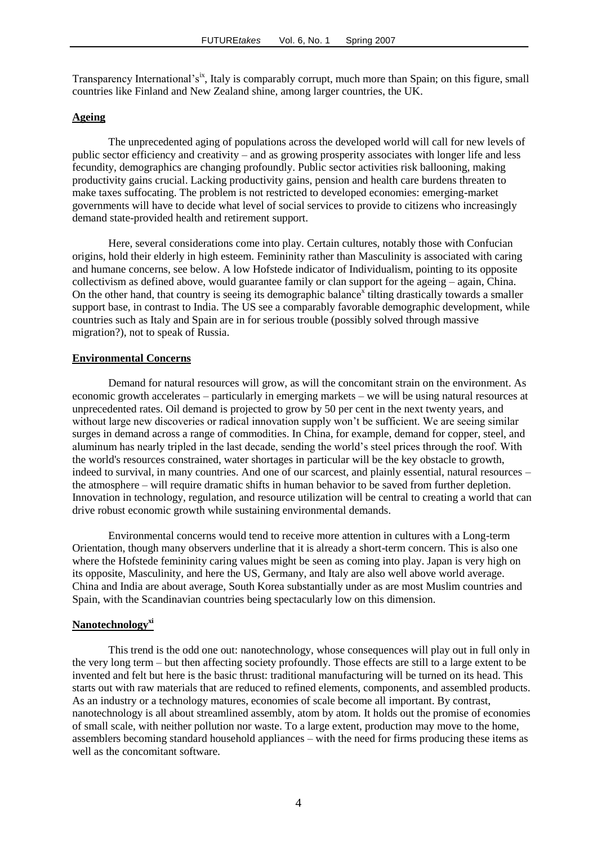Transparency International's<sup>ix</sup>, Italy is comparably corrupt, much more than Spain; on this figure, small countries like Finland and New Zealand shine, among larger countries, the UK.

#### **Ageing**

The unprecedented aging of populations across the developed world will call for new levels of public sector efficiency and creativity – and as growing prosperity associates with longer life and less fecundity, demographics are changing profoundly. Public sector activities risk ballooning, making productivity gains crucial. Lacking productivity gains, pension and health care burdens threaten to make taxes suffocating. The problem is not restricted to developed economies: emerging-market governments will have to decide what level of social services to provide to citizens who increasingly demand state-provided health and retirement support.

Here, several considerations come into play. Certain cultures, notably those with Confucian origins, hold their elderly in high esteem. Femininity rather than Masculinity is associated with caring and humane concerns, see below. A low Hofstede indicator of Individualism, pointing to its opposite collectivism as defined above, would guarantee family or clan support for the ageing – again, China. On the other hand, that country is seeing its demographic balance<sup>x</sup> tilting drastically towards a smaller support base, in contrast to India. The US see a comparably favorable demographic development, while countries such as Italy and Spain are in for serious trouble (possibly solved through massive migration?), not to speak of Russia.

#### **Environmental Concerns**

Demand for natural resources will grow, as will the concomitant strain on the environment. As economic growth accelerates – particularly in emerging markets – we will be using natural resources at unprecedented rates. Oil demand is projected to grow by 50 per cent in the next twenty years, and without large new discoveries or radical innovation supply won't be sufficient. We are seeing similar surges in demand across a range of commodities. In China, for example, demand for copper, steel, and aluminum has nearly tripled in the last decade, sending the world"s steel prices through the roof. With the world's resources constrained, water shortages in particular will be the key obstacle to growth, indeed to survival, in many countries. And one of our scarcest, and plainly essential, natural resources – the atmosphere – will require dramatic shifts in human behavior to be saved from further depletion. Innovation in technology, regulation, and resource utilization will be central to creating a world that can drive robust economic growth while sustaining environmental demands.

Environmental concerns would tend to receive more attention in cultures with a Long-term Orientation, though many observers underline that it is already a short-term concern. This is also one where the Hofstede femininity caring values might be seen as coming into play. Japan is very high on its opposite, Masculinity, and here the US, Germany, and Italy are also well above world average. China and India are about average, South Korea substantially under as are most Muslim countries and Spain, with the Scandinavian countries being spectacularly low on this dimension.

#### **Nanotechnologyxi**

This trend is the odd one out: nanotechnology, whose consequences will play out in full only in the very long term – but then affecting society profoundly. Those effects are still to a large extent to be invented and felt but here is the basic thrust: traditional manufacturing will be turned on its head. This starts out with raw materials that are reduced to refined elements, components, and assembled products. As an industry or a technology matures, economies of scale become all important. By contrast, nanotechnology is all about streamlined assembly, atom by atom. It holds out the promise of economies of small scale, with neither pollution nor waste. To a large extent, production may move to the home, assemblers becoming standard household appliances – with the need for firms producing these items as well as the concomitant software.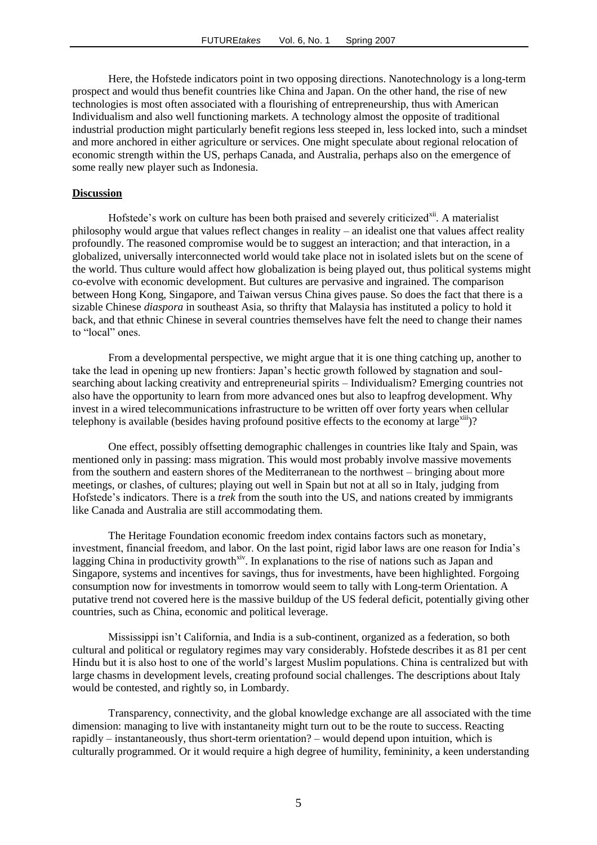Here, the Hofstede indicators point in two opposing directions. Nanotechnology is a long-term prospect and would thus benefit countries like China and Japan. On the other hand, the rise of new technologies is most often associated with a flourishing of entrepreneurship, thus with American Individualism and also well functioning markets. A technology almost the opposite of traditional industrial production might particularly benefit regions less steeped in, less locked into, such a mindset and more anchored in either agriculture or services. One might speculate about regional relocation of economic strength within the US, perhaps Canada, and Australia, perhaps also on the emergence of some really new player such as Indonesia.

#### **Discussion**

Hofstede's work on culture has been both praised and severely criticized<sup>xii</sup>. A materialist philosophy would argue that values reflect changes in reality – an idealist one that values affect reality profoundly. The reasoned compromise would be to suggest an interaction; and that interaction, in a globalized, universally interconnected world would take place not in isolated islets but on the scene of the world. Thus culture would affect how globalization is being played out, thus political systems might co-evolve with economic development. But cultures are pervasive and ingrained. The comparison between Hong Kong, Singapore, and Taiwan versus China gives pause. So does the fact that there is a sizable Chinese *diaspora* in southeast Asia, so thrifty that Malaysia has instituted a policy to hold it back, and that ethnic Chinese in several countries themselves have felt the need to change their names to "local" ones.

From a developmental perspective, we might argue that it is one thing catching up, another to take the lead in opening up new frontiers: Japan"s hectic growth followed by stagnation and soulsearching about lacking creativity and entrepreneurial spirits – Individualism? Emerging countries not also have the opportunity to learn from more advanced ones but also to leapfrog development. Why invest in a wired telecommunications infrastructure to be written off over forty years when cellular telephony is available (besides having profound positive effects to the economy at large $\frac{\text{min}}{2}$ )?

One effect, possibly offsetting demographic challenges in countries like Italy and Spain, was mentioned only in passing: mass migration. This would most probably involve massive movements from the southern and eastern shores of the Mediterranean to the northwest – bringing about more meetings, or clashes, of cultures; playing out well in Spain but not at all so in Italy, judging from Hofstede"s indicators. There is a *trek* from the south into the US, and nations created by immigrants like Canada and Australia are still accommodating them.

The Heritage Foundation economic freedom index contains factors such as monetary, investment, financial freedom, and labor. On the last point, rigid labor laws are one reason for India"s lagging China in productivity growth<sup>xiv</sup>. In explanations to the rise of nations such as Japan and Singapore, systems and incentives for savings, thus for investments, have been highlighted. Forgoing consumption now for investments in tomorrow would seem to tally with Long-term Orientation. A putative trend not covered here is the massive buildup of the US federal deficit, potentially giving other countries, such as China, economic and political leverage.

Mississippi isn"t California, and India is a sub-continent, organized as a federation, so both cultural and political or regulatory regimes may vary considerably. Hofstede describes it as 81 per cent Hindu but it is also host to one of the world"s largest Muslim populations. China is centralized but with large chasms in development levels, creating profound social challenges. The descriptions about Italy would be contested, and rightly so, in Lombardy.

Transparency, connectivity, and the global knowledge exchange are all associated with the time dimension: managing to live with instantaneity might turn out to be the route to success. Reacting rapidly – instantaneously, thus short-term orientation? – would depend upon intuition, which is culturally programmed. Or it would require a high degree of humility, femininity, a keen understanding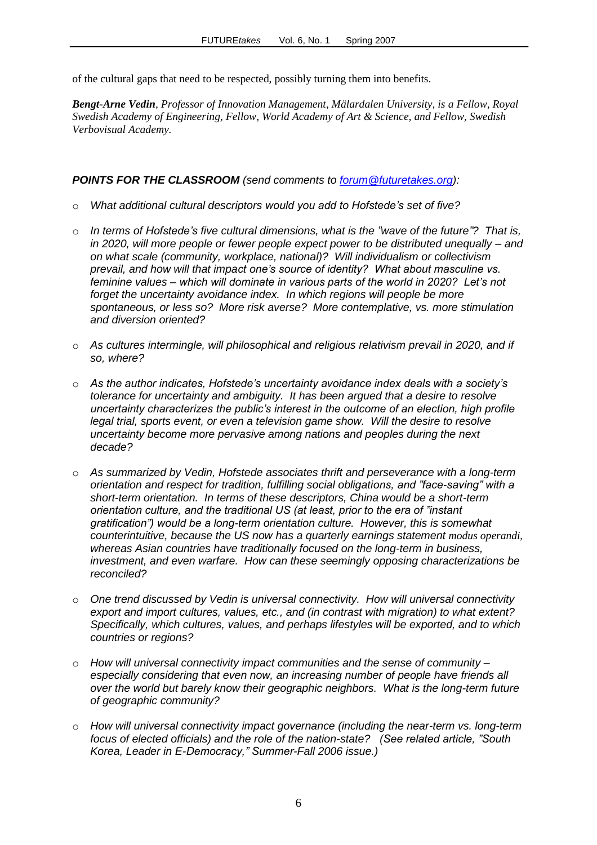of the cultural gaps that need to be respected, possibly turning them into benefits.

*Bengt-Arne Vedin, Professor of Innovation Management, Mälardalen University, is a Fellow, Royal Swedish Academy of Engineering, Fellow, World Academy of Art & Science, and Fellow, Swedish Verbovisual Academy.*

### *POINTS FOR THE CLASSROOM (send comments to [forum@futuretakes.org\)](mailto:forum@futuretakes.org):*

- o *What additional cultural descriptors would you add to Hofstede's set of five?*
- o *In terms of Hofstede's five cultural dimensions, what is the "wave of the future"? That is, in 2020, will more people or fewer people expect power to be distributed unequally – and on what scale (community, workplace, national)? Will individualism or collectivism prevail, and how will that impact one's source of identity? What about masculine vs. feminine values – which will dominate in various parts of the world in 2020? Let's not*  forget the uncertainty avoidance index. In which regions will people be more *spontaneous, or less so? More risk averse? More contemplative, vs. more stimulation and diversion oriented?*
- o *As cultures intermingle, will philosophical and religious relativism prevail in 2020, and if so, where?*
- o *As the author indicates, Hofstede's uncertainty avoidance index deals with a society's tolerance for uncertainty and ambiguity. It has been argued that a desire to resolve uncertainty characterizes the public's interest in the outcome of an election, high profile*  legal trial, sports event, or even a television game show. Will the desire to resolve *uncertainty become more pervasive among nations and peoples during the next decade?*
- o *As summarized by Vedin, Hofstede associates thrift and perseverance with a long-term orientation and respect for tradition, fulfilling social obligations, and "face-saving" with a short-term orientation. In terms of these descriptors, China would be a short-term orientation culture, and the traditional US (at least, prior to the era of "instant gratification") would be a long-term orientation culture. However, this is somewhat counterintuitive, because the US now has a quarterly earnings statement modus operandi, whereas Asian countries have traditionally focused on the long-term in business, investment, and even warfare. How can these seemingly opposing characterizations be reconciled?*
- o *One trend discussed by Vedin is universal connectivity. How will universal connectivity export and import cultures, values, etc., and (in contrast with migration) to what extent? Specifically, which cultures, values, and perhaps lifestyles will be exported, and to which countries or regions?*
- o *How will universal connectivity impact communities and the sense of community – especially considering that even now, an increasing number of people have friends all over the world but barely know their geographic neighbors. What is the long-term future of geographic community?*
- o *How will universal connectivity impact governance (including the near-term vs. long-term focus of elected officials) and the role of the nation-state? (See related article, "South Korea, Leader in E-Democracy," Summer-Fall 2006 issue.)*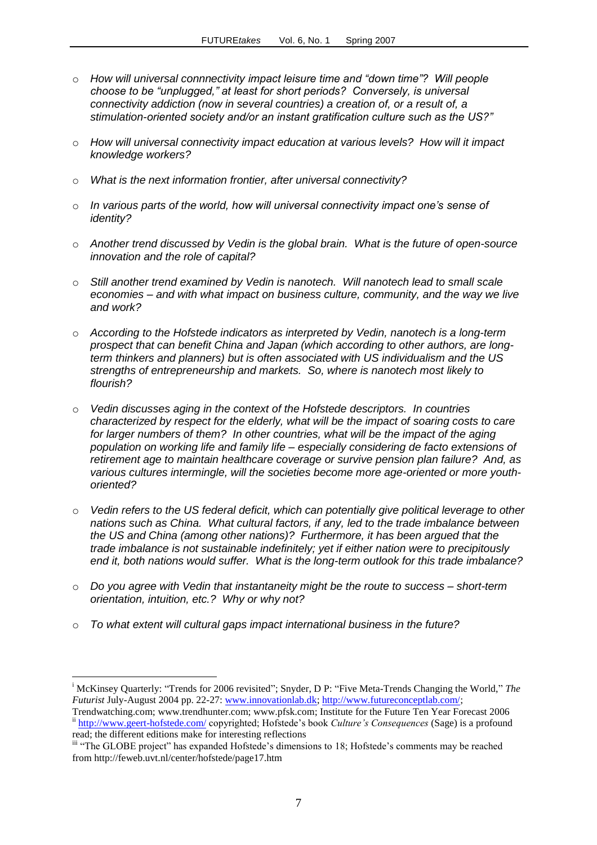- o *How will universal connnectivity impact leisure time and "down time"? Will people choose to be "unplugged," at least for short periods? Conversely, is universal connectivity addiction (now in several countries) a creation of, or a result of, a stimulation-oriented society and/or an instant gratification culture such as the US?"*
- o *How will universal connectivity impact education at various levels? How will it impact knowledge workers?*
- o *What is the next information frontier, after universal connectivity?*
- o *In various parts of the world, how will universal connectivity impact one's sense of identity?*
- o *Another trend discussed by Vedin is the global brain. What is the future of open-source innovation and the role of capital?*
- o *Still another trend examined by Vedin is nanotech. Will nanotech lead to small scale economies – and with what impact on business culture, community, and the way we live and work?*
- o *According to the Hofstede indicators as interpreted by Vedin, nanotech is a long-term prospect that can benefit China and Japan (which according to other authors, are longterm thinkers and planners) but is often associated with US individualism and the US strengths of entrepreneurship and markets. So, where is nanotech most likely to flourish?*
- o *Vedin discusses aging in the context of the Hofstede descriptors. In countries characterized by respect for the elderly, what will be the impact of soaring costs to care for larger numbers of them? In other countries, what will be the impact of the aging population on working life and family life – especially considering de facto extensions of retirement age to maintain healthcare coverage or survive pension plan failure? And, as various cultures intermingle, will the societies become more age-oriented or more youthoriented?*
- o *Vedin refers to the US federal deficit, which can potentially give political leverage to other nations such as China. What cultural factors, if any, led to the trade imbalance between the US and China (among other nations)? Furthermore, it has been argued that the trade imbalance is not sustainable indefinitely; yet if either nation were to precipitously end it, both nations would suffer. What is the long-term outlook for this trade imbalance?*
- o *Do you agree with Vedin that instantaneity might be the route to success – short-term orientation, intuition, etc.? Why or why not?*
- o *To what extent will cultural gaps impact international business in the future?*

 $\overline{a}$ 

<sup>i</sup> McKinsey Quarterly: "Trends for 2006 revisited"; Snyder, D P: "Five Meta-Trends Changing the World," *The Futurist* July-August 2004 pp. 22-27: [www.innovationlab.dk;](http://www.innovationlab.dk/) [http://www.futureconceptlab.com/;](http://www.futureconceptlab.com/)

Trendwatching.com; www.trendhunter.com; www.pfsk.com; Institute for the Future Ten Year Forecast 2006 ii <http://www.geert-hofstede.com/> copyrighted; Hofstede's book *Culture's Consequences* (Sage) is a profound read; the different editions make for interesting reflections

iii "The GLOBE project" has expanded Hofstede's dimensions to 18; Hofstede's comments may be reached from http://feweb.uvt.nl/center/hofstede/page17.htm